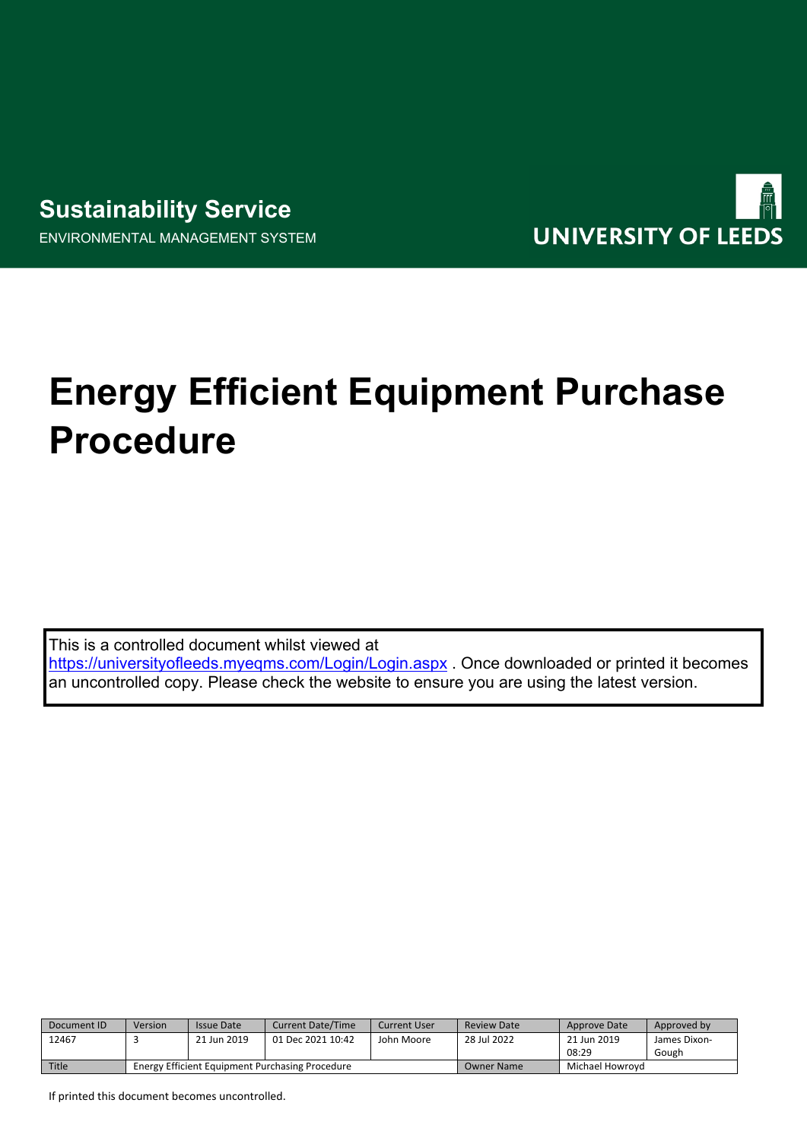



# **Energy Efficient Equipment Purchase Procedure**

This is a controlled document whilst viewed at <https://universityofleeds.myeqms.com/Login/Login.aspx> . Once downloaded or printed it becomes an uncontrolled copy. Please check the website to ensure you are using the latest version.

| Document ID  | Version                                                | Issue Date  | <b>Current Date/Time</b> | Current User      | <b>Review Date</b> | Approve Date | Approved by  |
|--------------|--------------------------------------------------------|-------------|--------------------------|-------------------|--------------------|--------------|--------------|
| 12467        |                                                        | 21 Jun 2019 | 01 Dec 2021 10:42        | John Moore        | 28 Jul 2022        | 21 Jun 2019  | James Dixon- |
|              |                                                        |             |                          |                   |                    | 08:29        | Gough        |
| <b>Title</b> | <b>Energy Efficient Equipment Purchasing Procedure</b> |             |                          | <b>Owner Name</b> | Michael Howrovd    |              |              |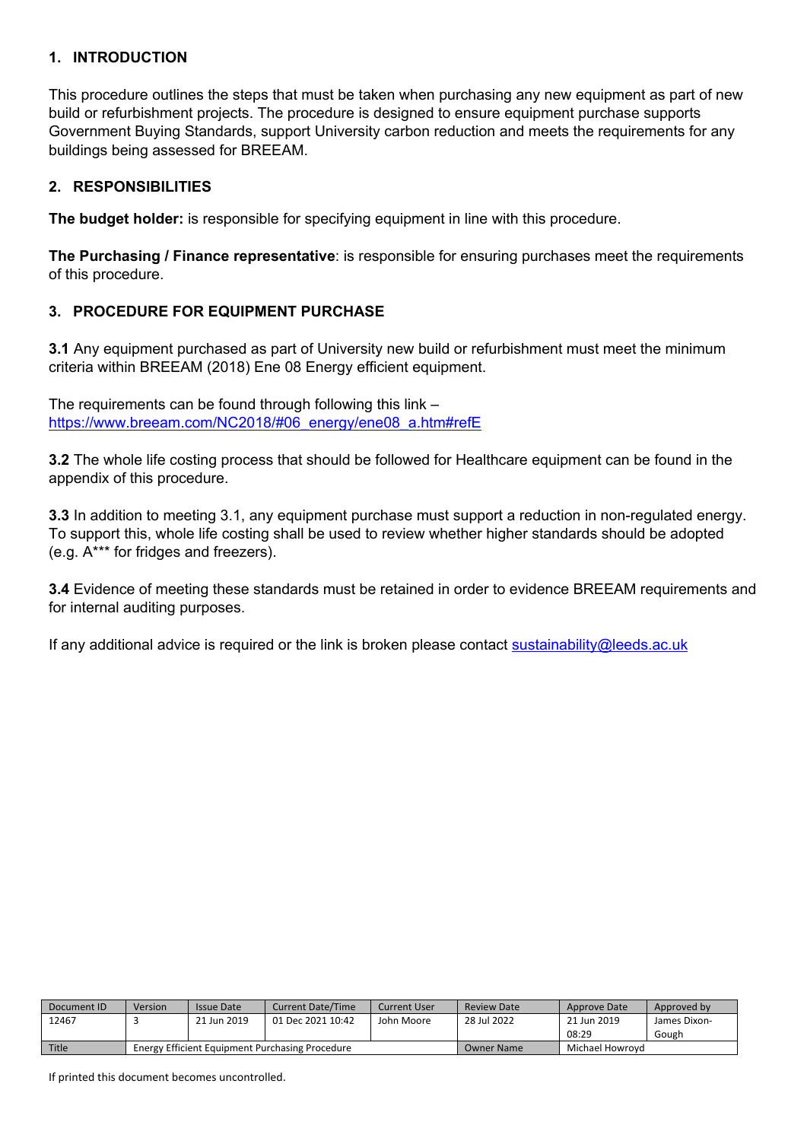#### **1. INTRODUCTION**

This procedure outlines the steps that must be taken when purchasing any new equipment as part of new build or refurbishment projects. The procedure is designed to ensure equipment purchase supports Government Buying Standards, support University carbon reduction and meets the requirements for any buildings being assessed for BREEAM.

## **2. RESPONSIBILITIES**

**The budget holder:** is responsible for specifying equipment in line with this procedure.

**The Purchasing / Finance representative**: is responsible for ensuring purchases meet the requirements of this procedure.

## **3. PROCEDURE FOR EQUIPMENT PURCHASE**

**3.1** Any equipment purchased as part of University new build or refurbishment must meet the minimum criteria within BREEAM (2018) Ene 08 Energy efficient equipment.

The requirements can be found through following this link – [https://www.breeam.com/NC2018/#06\\_energy/ene08\\_a.htm#refE](https://www.breeam.com/NC2018/#06_energy/ene08_a.htm#refE)

**3.2** The whole life costing process that should be followed for Healthcare equipment can be found in the appendix of this procedure.

**3.3** In addition to meeting 3.1, any equipment purchase must support a reduction in non-regulated energy. To support this, whole life costing shall be used to review whether higher standards should be adopted (e.g. A\*\*\* for fridges and freezers).

**3.4** Evidence of meeting these standards must be retained in order to evidence BREEAM requirements and for internal auditing purposes.

If any additional advice is required or the link is broken please contact [sustainability@leeds.ac.uk](mailto:sustainability@leeds.ac.uk)

| Document ID  | Version                                                | <b>Issue Date</b> | <b>Current Date/Time</b> | Current User | <b>Review Date</b> | Approve Date    | Approved by  |
|--------------|--------------------------------------------------------|-------------------|--------------------------|--------------|--------------------|-----------------|--------------|
| 12467        |                                                        | 21 Jun 2019       | 01 Dec 2021 10:42        | John Moore   | 28 Jul 2022        | 21 Jun 2019     | James Dixon- |
|              |                                                        |                   |                          |              |                    | 08:29           | Gough        |
| <b>Title</b> | <b>Energy Efficient Equipment Purchasing Procedure</b> |                   |                          |              | <b>Owner Name</b>  | Michael Howrovd |              |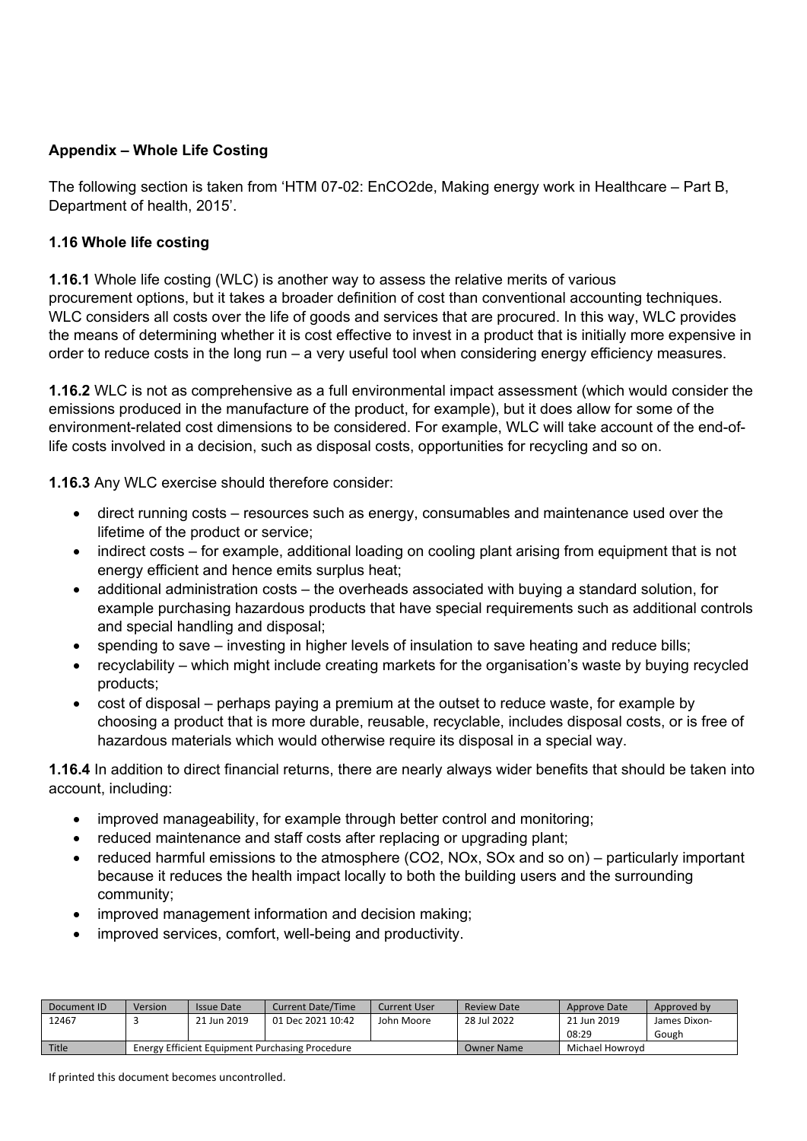# **Appendix – Whole Life Costing**

The following section is taken from 'HTM 07-02: EnCO2de, Making energy work in Healthcare – Part B, Department of health, 2015'.

#### **1.16 Whole life costing**

**1.16.1** Whole life costing (WLC) is another way to assess the relative merits of various procurement options, but it takes a broader definition of cost than conventional accounting techniques. WLC considers all costs over the life of goods and services that are procured. In this way, WLC provides the means of determining whether it is cost effective to invest in a product that is initially more expensive in order to reduce costs in the long run – a very useful tool when considering energy efficiency measures.

**1.16.2** WLC is not as comprehensive as a full environmental impact assessment (which would consider the emissions produced in the manufacture of the product, for example), but it does allow for some of the environment-related cost dimensions to be considered. For example, WLC will take account of the end-oflife costs involved in a decision, such as disposal costs, opportunities for recycling and so on.

**1.16.3** Any WLC exercise should therefore consider:

- direct running costs resources such as energy, consumables and maintenance used over the lifetime of the product or service;
- indirect costs for example, additional loading on cooling plant arising from equipment that is not energy efficient and hence emits surplus heat;
- additional administration costs the overheads associated with buying a standard solution, for example purchasing hazardous products that have special requirements such as additional controls and special handling and disposal;
- spending to save investing in higher levels of insulation to save heating and reduce bills;
- recyclability which might include creating markets for the organisation's waste by buying recycled products;
- cost of disposal perhaps paying a premium at the outset to reduce waste, for example by choosing a product that is more durable, reusable, recyclable, includes disposal costs, or is free of hazardous materials which would otherwise require its disposal in a special way.

**1.16.4** In addition to direct financial returns, there are nearly always wider benefits that should be taken into account, including:

- improved manageability, for example through better control and monitoring;
- reduced maintenance and staff costs after replacing or upgrading plant;
- reduced harmful emissions to the atmosphere (CO2, NOx, SOx and so on) particularly important because it reduces the health impact locally to both the building users and the surrounding community;
- improved management information and decision making;
- improved services, comfort, well-being and productivity.

| Document ID  | Version                                                | Issue Date  | <b>Current Date/Time</b> | Current User | <b>Review Date</b> | Approve Date         | Approved by           |
|--------------|--------------------------------------------------------|-------------|--------------------------|--------------|--------------------|----------------------|-----------------------|
| 12467        |                                                        | 21 Jun 2019 | 01 Dec 2021 10:42        | John Moore   | 28 Jul 2022        | 21 Jun 2019<br>08:29 | James Dixon-<br>Gough |
| <b>Title</b> | <b>Energy Efficient Equipment Purchasing Procedure</b> |             |                          | Owner Name   | Michael Howrovd    |                      |                       |